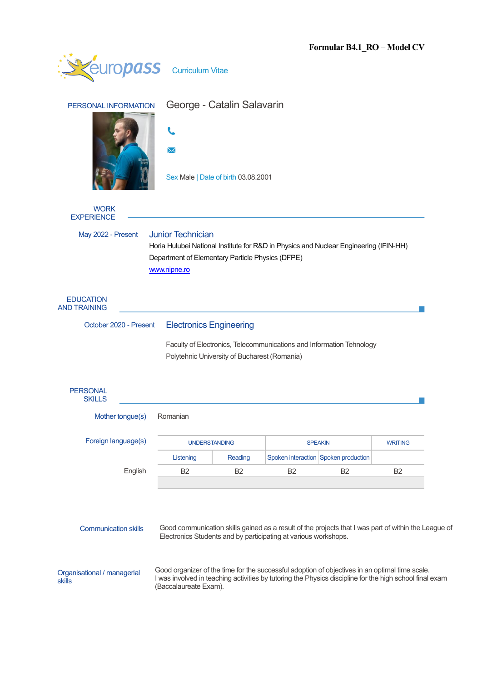|                                                                                                                                           |                                                                                                |                      |                                                                      | 1 vriimai Dui RV                     | 1100001                                                                                                 |  |  |
|-------------------------------------------------------------------------------------------------------------------------------------------|------------------------------------------------------------------------------------------------|----------------------|----------------------------------------------------------------------|--------------------------------------|---------------------------------------------------------------------------------------------------------|--|--|
| <i><b><u>europass</u></b></i>                                                                                                             | <b>Curriculum Vitae</b>                                                                        |                      |                                                                      |                                      |                                                                                                         |  |  |
| PERSONAL INFORMATION                                                                                                                      | George - Catalin Salavarin                                                                     |                      |                                                                      |                                      |                                                                                                         |  |  |
|                                                                                                                                           |                                                                                                |                      |                                                                      |                                      |                                                                                                         |  |  |
|                                                                                                                                           | ᢂ                                                                                              |                      |                                                                      |                                      |                                                                                                         |  |  |
|                                                                                                                                           | Sex Male   Date of birth 03.08.2001                                                            |                      |                                                                      |                                      |                                                                                                         |  |  |
| <b>WORK</b><br><b>EXPERIENCE</b>                                                                                                          |                                                                                                |                      |                                                                      |                                      |                                                                                                         |  |  |
| May 2022 - Present                                                                                                                        | <b>Junior Technician</b>                                                                       |                      |                                                                      |                                      |                                                                                                         |  |  |
| Horia Hulubei National Institute for R&D in Physics and Nuclear Engineering (IFIN-HH)<br>Department of Elementary Particle Physics (DFPE) |                                                                                                |                      |                                                                      |                                      |                                                                                                         |  |  |
|                                                                                                                                           | www.nipne.ro                                                                                   |                      |                                                                      |                                      |                                                                                                         |  |  |
| <b>EDUCATION</b><br><b>AND TRAINING</b>                                                                                                   |                                                                                                |                      |                                                                      |                                      |                                                                                                         |  |  |
| October 2020 - Present                                                                                                                    | <b>Electronics Engineering</b>                                                                 |                      |                                                                      |                                      |                                                                                                         |  |  |
|                                                                                                                                           |                                                                                                |                      | Faculty of Electronics, Telecommunications and Information Tehnology |                                      |                                                                                                         |  |  |
|                                                                                                                                           | Polytehnic University of Bucharest (Romania)                                                   |                      |                                                                      |                                      |                                                                                                         |  |  |
| <b>PERSONAL</b><br><b>SKILLS</b>                                                                                                          |                                                                                                |                      |                                                                      |                                      |                                                                                                         |  |  |
| Mother tongue(s)                                                                                                                          | Romanian                                                                                       |                      |                                                                      |                                      |                                                                                                         |  |  |
| Foreign language(s)                                                                                                                       |                                                                                                | <b>UNDERSTANDING</b> |                                                                      | <b>SPEAKIN</b>                       |                                                                                                         |  |  |
|                                                                                                                                           | Listening                                                                                      | Reading              |                                                                      | Spoken interaction Spoken production |                                                                                                         |  |  |
| English                                                                                                                                   | B <sub>2</sub>                                                                                 | <b>B2</b>            | B <sub>2</sub>                                                       | B <sub>2</sub>                       | B <sub>2</sub>                                                                                          |  |  |
| <b>Communication skills</b>                                                                                                               |                                                                                                |                      | Electronics Students and by participating at various workshops.      |                                      | Good communication skills gained as a result of the projects that I was part of within the League of    |  |  |
| Organisational / managerial<br>skills                                                                                                     | Good organizer of the time for the successful adoption of objectives in an optimal time scale. |                      |                                                                      |                                      | I was involved in teaching activities by tutoring the Physics discipline for the high school final exam |  |  |

(Baccalaureate Exam).